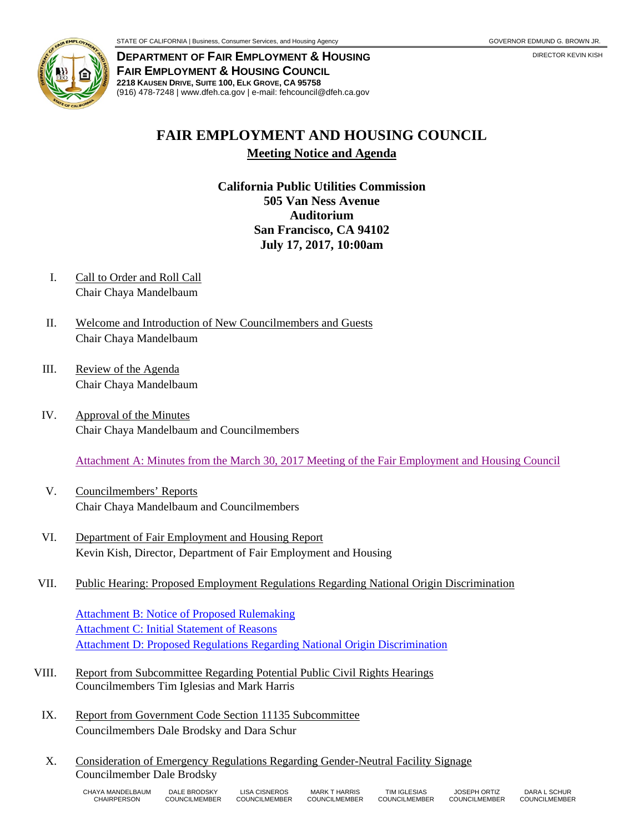

**DEPARTMENT OF FAIR EMPLOYMENT & HOUSING FAIR EMPLOYMENT & HOUSING COUNCIL 2218 KAUSEN DRIVE, SUITE 100, ELK GROVE, CA 95758** (916) 478-7248 | www.dfeh.ca.gov | e-mail: fehcouncil@dfeh.ca.gov

## **FAIR EMPLOYMENT AND HOUSING COUNCIL**

**Meeting Notice and Agenda**

**California Public Utilities Commission 505 Van Ness Avenue Auditorium San Francisco, CA 94102 July 17, 2017, 10:00am**

- I. Call to Order and Roll Call Chair Chaya Mandelbaum
- II. Welcome and Introduction of New Councilmembers and Guests Chair Chaya Mandelbaum
- III. Review of the Agenda Chair Chaya Mandelbaum
- IV. Approval of the Minutes Chair Chaya Mandelbaum and Councilmembers

Attachment A: Minutes from the March 30, 2017 [Meeting of the Fair Employment and Housing Council](http://www.dfeh.ca.gov/wp-content/uploads/sites/32/2017/07/AttachA-FEHCMinutes2017Mar30.pdf)

- V. Councilmembers' Reports Chair Chaya Mandelbaum and Councilmembers
- VI. Department of Fair Employment and Housing Report Kevin Kish, Director, Department of Fair Employment and Housing
- VII. Public Hearing: Proposed Employment Regulations Regarding National Origin Discrimination

[Attachment B: Notice of Proposed Rulemaking](http://www.dfeh.ca.gov/wp-content/uploads/sites/32/2017/07/AttachB-NtcPropEmployRegNationalOrigDiscrimination.pdf) [Attachment C: Initial Statement of Reasons](http://www.dfeh.ca.gov/wp-content/uploads/sites/32/2017/07/AttachC-InitStmtofReasonsPropEmployRegNationalOrigDiscrimination.pdf) [Attachment D: Proposed Regulations Regarding National Origin Discrimination](http://www.dfeh.ca.gov/wp-content/uploads/sites/32/2017/07/AttachD-TextPropEmployRegNationalOrigDiscrimination.pdf)

- VIII. Report from Subcommittee Regarding Potential Public Civil Rights Hearings Councilmembers Tim Iglesias and Mark Harris
	- IX. Report from Government Code Section 11135 Subcommittee Councilmembers Dale Brodsky and Dara Schur
	- X. Consideration of Emergency Regulations Regarding Gender-Neutral Facility Signage Councilmember Dale Brodsky